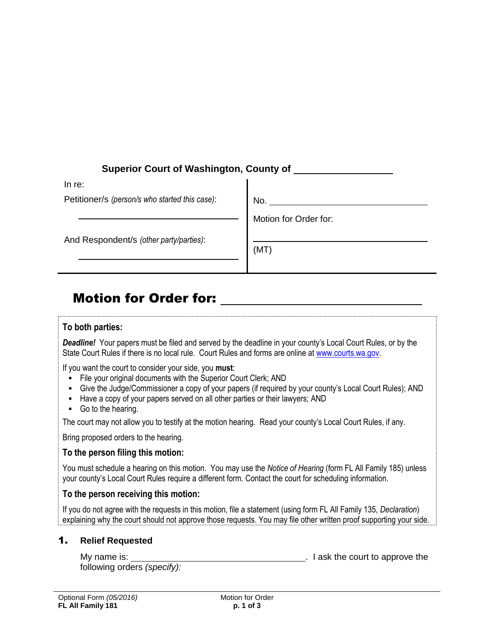# **Superior Court of Washington, County of**

| In re:                                         |                       |
|------------------------------------------------|-----------------------|
| Petitioner/s (person/s who started this case): | No.                   |
|                                                | Motion for Order for: |
| And Respondent/s (other party/parties):        |                       |
|                                                | (MT)                  |
|                                                |                       |

# Motion for Order for:

# **To both parties:**

**Deadline!** Your papers must be filed and served by the deadline in your county's Local Court Rules, or by the State Court Rules if there is no local rule. Court Rules and forms are online at [www.courts.wa.gov.](http://www.courts.wa.gov/)

If you want the court to consider your side, you **must**:

- File your original documents with the Superior Court Clerk; AND
- Give the Judge/Commissioner a copy of your papers (if required by your county's Local Court Rules); AND
- Have a copy of your papers served on all other parties or their lawyers; AND
- Go to the hearing.

The court may not allow you to testify at the motion hearing. Read your county's Local Court Rules, if any.

Bring proposed orders to the hearing.

# **To the person filing this motion:**

You must schedule a hearing on this motion. You may use the *Notice of Hearing* (form FL All Family 185) unless your county's Local Court Rules require a different form. Contact the court for scheduling information.

# **To the person receiving this motion:**

If you do not agree with the requests in this motion, file a statement (using form FL All Family 135, *Declaration*) explaining why the court should not approve those requests. You may file other written proof supporting your side.

# 1. **Relief Requested**

| My name is: |                             | . I ask the court to approve the |
|-------------|-----------------------------|----------------------------------|
|             | following orders (specify): |                                  |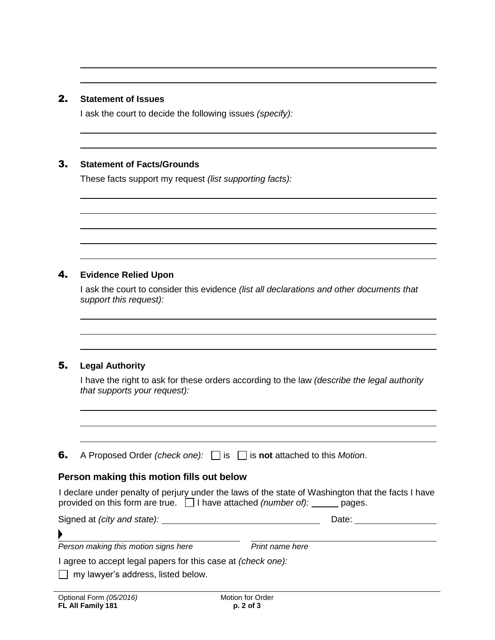#### 2. **Statement of Issues**

I ask the court to decide the following issues *(specify):*

#### 3. **Statement of Facts/Grounds**

These facts support my request *(list supporting facts):*

# 4. **Evidence Relied Upon**

I ask the court to consider this evidence *(list all declarations and other documents that support this request):*

# 5. **Legal Authority**

I have the right to ask for these orders according to the law *(describe the legal authority that supports your request):* 

6. A Proposed Order *(check one):* is is **not** attached to this *Motion*.

# **Person making this motion fills out below**

I declare under penalty of perjury under the laws of the state of Washington that the facts I have provided on this form are true.  $\Box$  I have attached *(number of):* pages.

Signed at *(city and state):* Note: Date: Date:

**Person making this motion signs here** *Print name here* 

I agree to accept legal papers for this case at *(check one):*

 $\Box$  my lawyer's address, listed below.